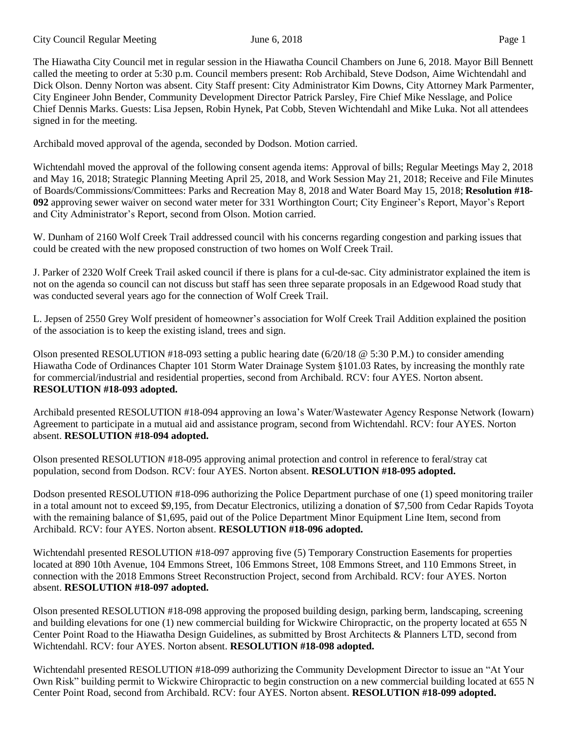The Hiawatha City Council met in regular session in the Hiawatha Council Chambers on June 6, 2018. Mayor Bill Bennett called the meeting to order at 5:30 p.m. Council members present: Rob Archibald, Steve Dodson, Aime Wichtendahl and Dick Olson. Denny Norton was absent. City Staff present: City Administrator Kim Downs, City Attorney Mark Parmenter, City Engineer John Bender, Community Development Director Patrick Parsley, Fire Chief Mike Nesslage, and Police Chief Dennis Marks. Guests: Lisa Jepsen, Robin Hynek, Pat Cobb, Steven Wichtendahl and Mike Luka. Not all attendees signed in for the meeting.

Archibald moved approval of the agenda, seconded by Dodson. Motion carried.

Wichtendahl moved the approval of the following consent agenda items: Approval of bills; Regular Meetings May 2, 2018 and May 16, 2018; Strategic Planning Meeting April 25, 2018, and Work Session May 21, 2018; Receive and File Minutes of Boards/Commissions/Committees: Parks and Recreation May 8, 2018 and Water Board May 15, 2018; **Resolution #18- 092** approving sewer waiver on second water meter for 331 Worthington Court; City Engineer's Report, Mayor's Report and City Administrator's Report, second from Olson. Motion carried.

W. Dunham of 2160 Wolf Creek Trail addressed council with his concerns regarding congestion and parking issues that could be created with the new proposed construction of two homes on Wolf Creek Trail.

J. Parker of 2320 Wolf Creek Trail asked council if there is plans for a cul-de-sac. City administrator explained the item is not on the agenda so council can not discuss but staff has seen three separate proposals in an Edgewood Road study that was conducted several years ago for the connection of Wolf Creek Trail.

L. Jepsen of 2550 Grey Wolf president of homeowner's association for Wolf Creek Trail Addition explained the position of the association is to keep the existing island, trees and sign.

Olson presented RESOLUTION #18-093 setting a public hearing date  $(6/20/18 \text{ @ } 5:30 \text{ P.M.})$  to consider amending Hiawatha Code of Ordinances Chapter 101 Storm Water Drainage System §101.03 Rates, by increasing the monthly rate for commercial/industrial and residential properties, second from Archibald. RCV: four AYES. Norton absent. **RESOLUTION #18-093 adopted.** 

Archibald presented RESOLUTION #18-094 approving an Iowa's Water/Wastewater Agency Response Network (Iowarn) Agreement to participate in a mutual aid and assistance program, second from Wichtendahl. RCV: four AYES. Norton absent. **RESOLUTION #18-094 adopted.** 

Olson presented RESOLUTION #18-095 approving animal protection and control in reference to feral/stray cat population, second from Dodson. RCV: four AYES. Norton absent. **RESOLUTION #18-095 adopted.** 

Dodson presented RESOLUTION #18-096 authorizing the Police Department purchase of one (1) speed monitoring trailer in a total amount not to exceed \$9,195, from Decatur Electronics, utilizing a donation of \$7,500 from Cedar Rapids Toyota with the remaining balance of \$1,695, paid out of the Police Department Minor Equipment Line Item, second from Archibald. RCV: four AYES. Norton absent. **RESOLUTION #18-096 adopted.** 

Wichtendahl presented RESOLUTION #18-097 approving five (5) Temporary Construction Easements for properties located at 890 10th Avenue, 104 Emmons Street, 106 Emmons Street, 108 Emmons Street, and 110 Emmons Street, in connection with the 2018 Emmons Street Reconstruction Project, second from Archibald. RCV: four AYES. Norton absent. **RESOLUTION #18-097 adopted.** 

Olson presented RESOLUTION #18-098 approving the proposed building design, parking berm, landscaping, screening and building elevations for one (1) new commercial building for Wickwire Chiropractic, on the property located at 655 N Center Point Road to the Hiawatha Design Guidelines, as submitted by Brost Architects & Planners LTD, second from Wichtendahl. RCV: four AYES. Norton absent. **RESOLUTION #18-098 adopted.** 

Wichtendahl presented RESOLUTION #18-099 authorizing the Community Development Director to issue an "At Your Own Risk" building permit to Wickwire Chiropractic to begin construction on a new commercial building located at 655 N Center Point Road, second from Archibald. RCV: four AYES. Norton absent. **RESOLUTION #18-099 adopted.**